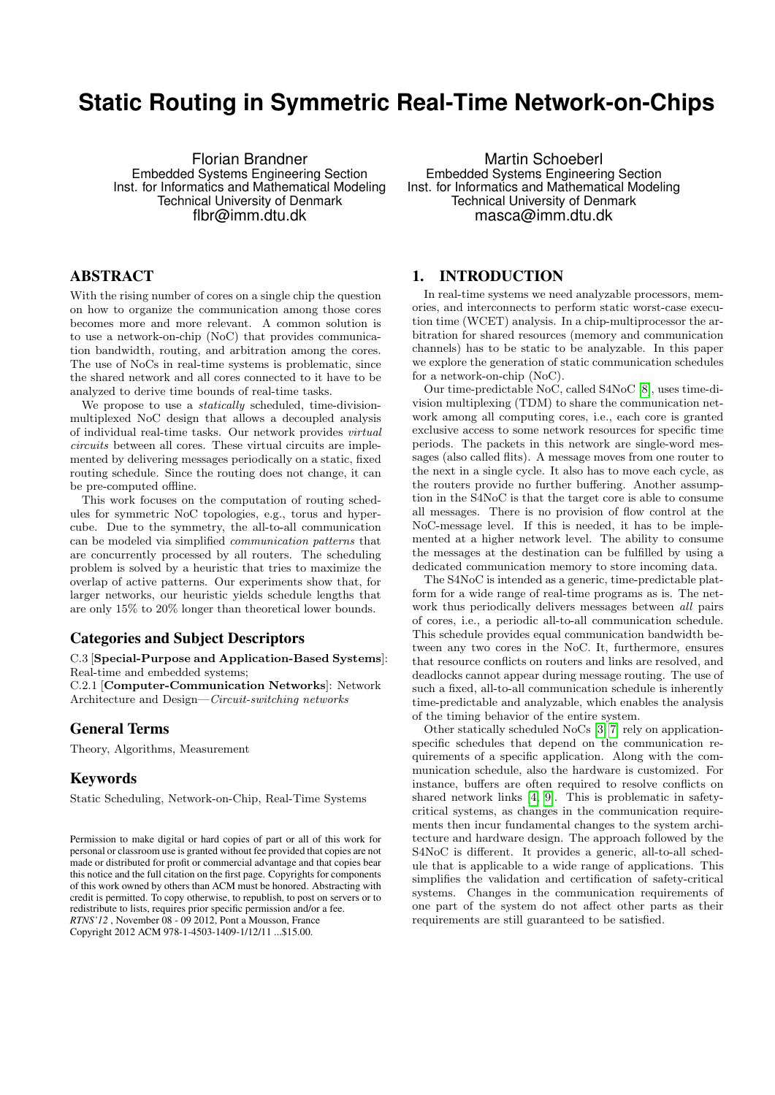# **Static Routing in Symmetric Real-Time Network-on-Chips**

Florian Brandner Embedded Systems Engineering Section Inst. for Informatics and Mathematical Modeling Technical University of Denmark flbr@imm.dtu.dk

### ABSTRACT

With the rising number of cores on a single chip the question on how to organize the communication among those cores becomes more and more relevant. A common solution is to use a network-on-chip (NoC) that provides communication bandwidth, routing, and arbitration among the cores. The use of NoCs in real-time systems is problematic, since the shared network and all cores connected to it have to be analyzed to derive time bounds of real-time tasks.

We propose to use a *statically* scheduled, time-divisionmultiplexed NoC design that allows a decoupled analysis of individual real-time tasks. Our network provides virtual circuits between all cores. These virtual circuits are implemented by delivering messages periodically on a static, fixed routing schedule. Since the routing does not change, it can be pre-computed offline.

This work focuses on the computation of routing schedules for symmetric NoC topologies, e.g., torus and hypercube. Due to the symmetry, the all-to-all communication can be modeled via simplified communication patterns that are concurrently processed by all routers. The scheduling problem is solved by a heuristic that tries to maximize the overlap of active patterns. Our experiments show that, for larger networks, our heuristic yields schedule lengths that are only 15% to 20% longer than theoretical lower bounds.

#### Categories and Subject Descriptors

C.3 [Special-Purpose and Application-Based Systems]: Real-time and embedded systems;

C.2.1 [Computer-Communication Networks]: Network Architecture and Design—Circuit-switching networks

#### General Terms

Theory, Algorithms, Measurement

#### Keywords

Static Scheduling, Network-on-Chip, Real-Time Systems

Martin Schoeberl Embedded Systems Engineering Section Inst. for Informatics and Mathematical Modeling Technical University of Denmark masca@imm.dtu.dk

#### 1. INTRODUCTION

In real-time systems we need analyzable processors, memories, and interconnects to perform static worst-case execution time (WCET) analysis. In a chip-multiprocessor the arbitration for shared resources (memory and communication channels) has to be static to be analyzable. In this paper we explore the generation of static communication schedules for a network-on-chip (NoC).

Our time-predictable NoC, called S4NoC [\[8\]](#page-9-0), uses time-division multiplexing (TDM) to share the communication network among all computing cores, i.e., each core is granted exclusive access to some network resources for specific time periods. The packets in this network are single-word messages (also called flits). A message moves from one router to the next in a single cycle. It also has to move each cycle, as the routers provide no further buffering. Another assumption in the S4NoC is that the target core is able to consume all messages. There is no provision of flow control at the NoC-message level. If this is needed, it has to be implemented at a higher network level. The ability to consume the messages at the destination can be fulfilled by using a dedicated communication memory to store incoming data.

The S4NoC is intended as a generic, time-predictable platform for a wide range of real-time programs as is. The network thus periodically delivers messages between all pairs of cores, i.e., a periodic all-to-all communication schedule. This schedule provides equal communication bandwidth between any two cores in the NoC. It, furthermore, ensures that resource conflicts on routers and links are resolved, and deadlocks cannot appear during message routing. The use of such a fixed, all-to-all communication schedule is inherently time-predictable and analyzable, which enables the analysis of the timing behavior of the entire system.

Other statically scheduled NoCs [\[3,](#page-9-1) [7\]](#page-9-2) rely on applicationspecific schedules that depend on the communication requirements of a specific application. Along with the communication schedule, also the hardware is customized. For instance, buffers are often required to resolve conflicts on shared network links [\[4,](#page-9-3) [9\]](#page-9-4). This is problematic in safetycritical systems, as changes in the communication requirements then incur fundamental changes to the system architecture and hardware design. The approach followed by the S4NoC is different. It provides a generic, all-to-all schedule that is applicable to a wide range of applications. This simplifies the validation and certification of safety-critical systems. Changes in the communication requirements of one part of the system do not affect other parts as their requirements are still guaranteed to be satisfied.

Permission to make digital or hard copies of part or all of this work for personal or classroom use is granted without fee provided that copies are not made or distributed for profit or commercial advantage and that copies bear this notice and the full citation on the first page. Copyrights for components of this work owned by others than ACM must be honored. Abstracting with credit is permitted. To copy otherwise, to republish, to post on servers or to redistribute to lists, requires prior specific permission and/or a fee. *RTNS'12* , November 08 - 09 2012, Pont a Mousson, France Copyright 2012 ACM 978-1-4503-1409-1/12/11 ...\$15.00.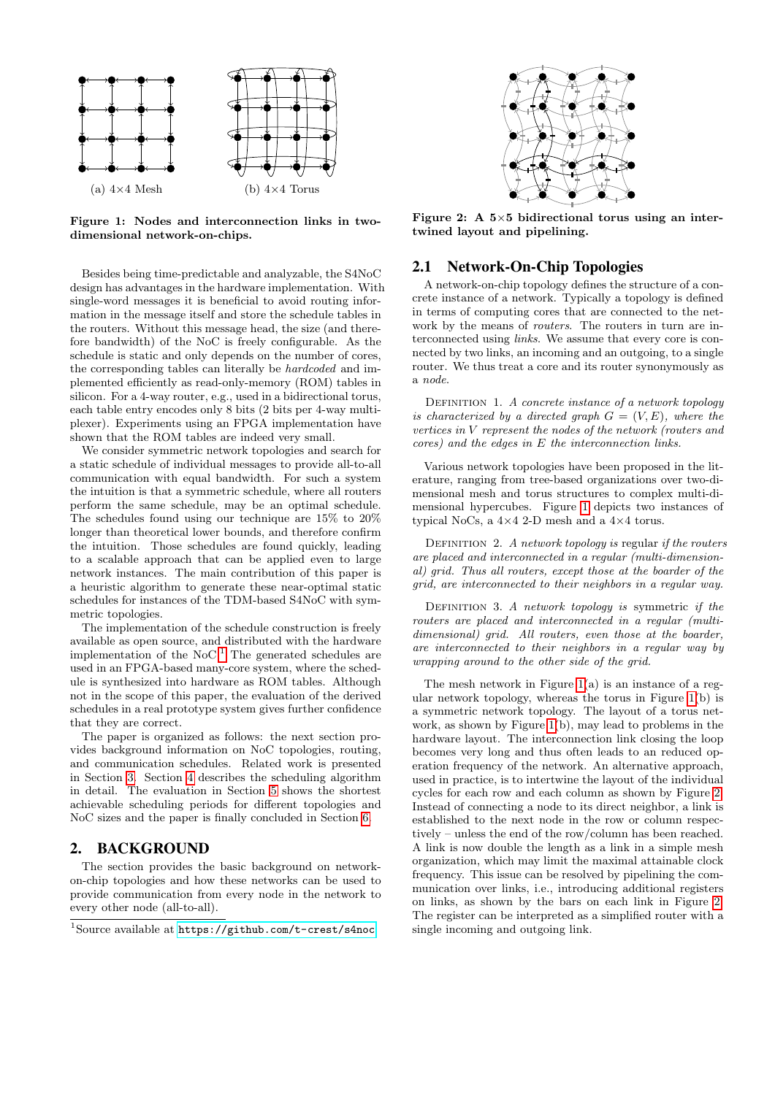

<span id="page-1-1"></span>Figure 1: Nodes and interconnection links in twodimensional network-on-chips.

Besides being time-predictable and analyzable, the S4NoC design has advantages in the hardware implementation. With single-word messages it is beneficial to avoid routing information in the message itself and store the schedule tables in the routers. Without this message head, the size (and therefore bandwidth) of the NoC is freely configurable. As the schedule is static and only depends on the number of cores, the corresponding tables can literally be hardcoded and implemented efficiently as read-only-memory (ROM) tables in silicon. For a 4-way router, e.g., used in a bidirectional torus, each table entry encodes only 8 bits (2 bits per 4-way multiplexer). Experiments using an FPGA implementation have shown that the ROM tables are indeed very small.

We consider symmetric network topologies and search for a static schedule of individual messages to provide all-to-all communication with equal bandwidth. For such a system the intuition is that a symmetric schedule, where all routers perform the same schedule, may be an optimal schedule. The schedules found using our technique are 15% to 20% longer than theoretical lower bounds, and therefore confirm the intuition. Those schedules are found quickly, leading to a scalable approach that can be applied even to large network instances. The main contribution of this paper is a heuristic algorithm to generate these near-optimal static schedules for instances of the TDM-based S4NoC with symmetric topologies.

The implementation of the schedule construction is freely available as open source, and distributed with the hardware implementation of the  $N_0C$ .<sup>[1](#page-1-0)</sup> The generated schedules are used in an FPGA-based many-core system, where the schedule is synthesized into hardware as ROM tables. Although not in the scope of this paper, the evaluation of the derived schedules in a real prototype system gives further confidence that they are correct.

The paper is organized as follows: the next section provides background information on NoC topologies, routing, and communication schedules. Related work is presented in Section [3.](#page-2-0) Section [4](#page-3-0) describes the scheduling algorithm in detail. The evaluation in Section [5](#page-6-0) shows the shortest achievable scheduling periods for different topologies and NoC sizes and the paper is finally concluded in Section [6.](#page-9-5)

#### 2. BACKGROUND

The section provides the basic background on networkon-chip topologies and how these networks can be used to provide communication from every node in the network to every other node (all-to-all).



<span id="page-1-2"></span>Figure 2: A  $5\times5$  bidirectional torus using an intertwined layout and pipelining.

## <span id="page-1-3"></span>2.1 Network-On-Chip Topologies

A network-on-chip topology defines the structure of a concrete instance of a network. Typically a topology is defined in terms of computing cores that are connected to the network by the means of routers. The routers in turn are interconnected using links. We assume that every core is connected by two links, an incoming and an outgoing, to a single router. We thus treat a core and its router synonymously as a node.

DEFINITION 1. A concrete instance of a network topology is characterized by a directed graph  $G = (V, E)$ , where the vertices in V represent the nodes of the network (routers and cores) and the edges in E the interconnection links.

Various network topologies have been proposed in the literature, ranging from tree-based organizations over two-dimensional mesh and torus structures to complex multi-dimensional hypercubes. Figure [1](#page-1-1) depicts two instances of typical NoCs, a 4×4 2-D mesh and a 4×4 torus.

DEFINITION 2. A network topology is regular if the routers are placed and interconnected in a regular (multi-dimensional) grid. Thus all routers, except those at the boarder of the grid, are interconnected to their neighbors in a regular way.

DEFINITION 3. A network topology is symmetric if the routers are placed and interconnected in a regular (multidimensional) grid. All routers, even those at the boarder, are interconnected to their neighbors in a regular way by wrapping around to the other side of the grid.

The mesh network in Figure [1\(](#page-1-1)a) is an instance of a regular network topology, whereas the torus in Figure [1\(](#page-1-1)b) is a symmetric network topology. The layout of a torus network, as shown by Figure [1\(](#page-1-1)b), may lead to problems in the hardware layout. The interconnection link closing the loop becomes very long and thus often leads to an reduced operation frequency of the network. An alternative approach, used in practice, is to intertwine the layout of the individual cycles for each row and each column as shown by Figure [2.](#page-1-2) Instead of connecting a node to its direct neighbor, a link is established to the next node in the row or column respectively – unless the end of the row/column has been reached. A link is now double the length as a link in a simple mesh organization, which may limit the maximal attainable clock frequency. This issue can be resolved by pipelining the communication over links, i.e., introducing additional registers on links, as shown by the bars on each link in Figure [2.](#page-1-2) The register can be interpreted as a simplified router with a single incoming and outgoing link.

<span id="page-1-0"></span><sup>1</sup>Source available at <https://github.com/t-crest/s4noc>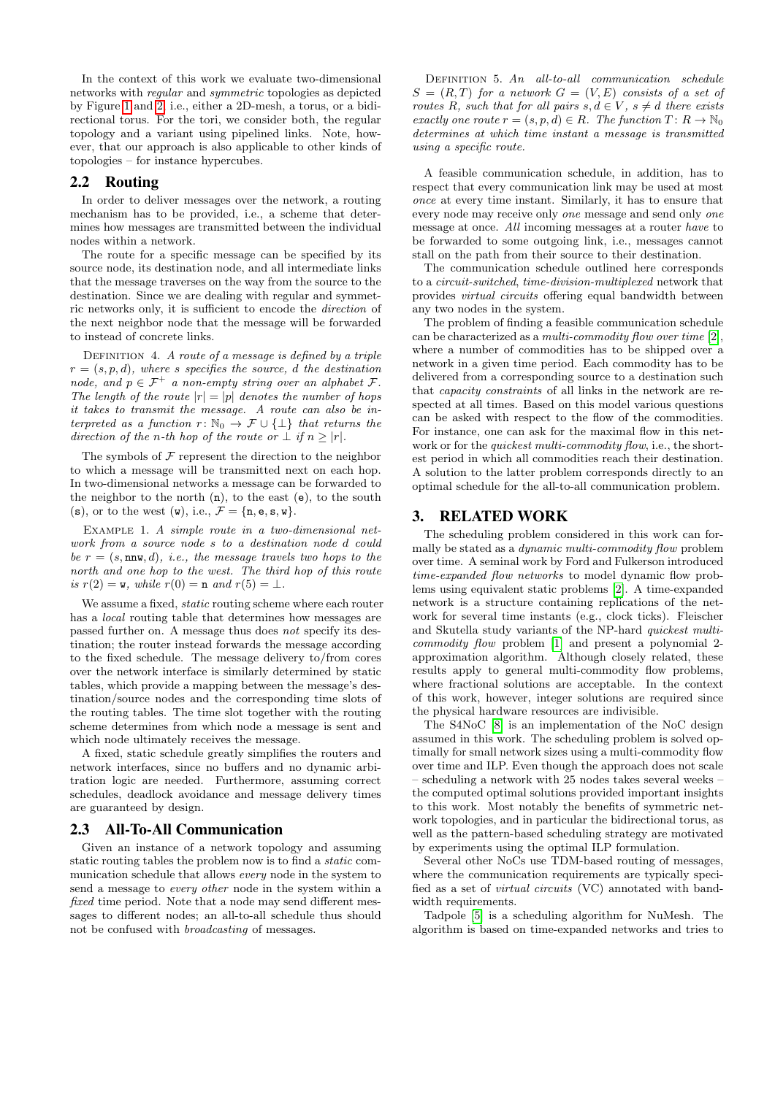In the context of this work we evaluate two-dimensional networks with regular and symmetric topologies as depicted by Figure [1](#page-1-1) and [2,](#page-1-2) i.e., either a 2D-mesh, a torus, or a bidirectional torus. For the tori, we consider both, the regular topology and a variant using pipelined links. Note, however, that our approach is also applicable to other kinds of topologies – for instance hypercubes.

#### 2.2 Routing

In order to deliver messages over the network, a routing mechanism has to be provided, i.e., a scheme that determines how messages are transmitted between the individual nodes within a network.

The route for a specific message can be specified by its source node, its destination node, and all intermediate links that the message traverses on the way from the source to the destination. Since we are dealing with regular and symmetric networks only, it is sufficient to encode the direction of the next neighbor node that the message will be forwarded to instead of concrete links.

<span id="page-2-2"></span>DEFINITION 4. A route of a message is defined by a triple  $r = (s, p, d)$ , where s specifies the source, d the destination node, and  $p \in \mathcal{F}^+$  a non-empty string over an alphabet  $\mathcal{F}$ . The length of the route  $|r| = |p|$  denotes the number of hops it takes to transmit the message. A route can also be interpreted as a function  $r: \mathbb{N}_0 \to \mathcal{F} \cup {\{\perp\}}$  that returns the direction of the n-th hop of the route or  $\perp$  if  $n \geq |r|$ .

The symbols of  $\mathcal F$  represent the direction to the neighbor to which a message will be transmitted next on each hop. In two-dimensional networks a message can be forwarded to the neighbor to the north (n), to the east (e), to the south (s), or to the west  $(w)$ , i.e.,  $\mathcal{F} = \{n, e, s, w\}.$ 

EXAMPLE 1. A simple route in a two-dimensional network from a source node s to a destination node d could be  $r = (s, \text{nnw}, d)$ , i.e., the message travels two hops to the north and one hop to the west. The third hop of this route is  $r(2) = w$ , while  $r(0) = n$  and  $r(5) = \perp$ .

We assume a fixed, *static* routing scheme where each router has a local routing table that determines how messages are passed further on. A message thus does not specify its destination; the router instead forwards the message according to the fixed schedule. The message delivery to/from cores over the network interface is similarly determined by static tables, which provide a mapping between the message's destination/source nodes and the corresponding time slots of the routing tables. The time slot together with the routing scheme determines from which node a message is sent and which node ultimately receives the message.

A fixed, static schedule greatly simplifies the routers and network interfaces, since no buffers and no dynamic arbitration logic are needed. Furthermore, assuming correct schedules, deadlock avoidance and message delivery times are guaranteed by design.

#### <span id="page-2-1"></span>2.3 All-To-All Communication

Given an instance of a network topology and assuming static routing tables the problem now is to find a static communication schedule that allows every node in the system to send a message to every other node in the system within a fixed time period. Note that a node may send different messages to different nodes; an all-to-all schedule thus should not be confused with broadcasting of messages.

DEFINITION 5. An all-to-all communication schedule  $S = (R, T)$  for a network  $G = (V, E)$  consists of a set of routes R, such that for all pairs  $s, d \in V$ ,  $s \neq d$  there exists exactly one route  $r = (s, p, d) \in R$ . The function  $T: R \to \mathbb{N}_0$ determines at which time instant a message is transmitted using a specific route.

A feasible communication schedule, in addition, has to respect that every communication link may be used at most once at every time instant. Similarly, it has to ensure that every node may receive only one message and send only one message at once. All incoming messages at a router have to be forwarded to some outgoing link, i.e., messages cannot stall on the path from their source to their destination.

The communication schedule outlined here corresponds to a circuit-switched, time-division-multiplexed network that provides virtual circuits offering equal bandwidth between any two nodes in the system.

The problem of finding a feasible communication schedule can be characterized as a multi-commodity flow over time [\[2\]](#page-9-6), where a number of commodities has to be shipped over a network in a given time period. Each commodity has to be delivered from a corresponding source to a destination such that capacity constraints of all links in the network are respected at all times. Based on this model various questions can be asked with respect to the flow of the commodities. For instance, one can ask for the maximal flow in this network or for the *quickest multi-commodity flow*, i.e., the shortest period in which all commodities reach their destination. A solution to the latter problem corresponds directly to an optimal schedule for the all-to-all communication problem.

#### <span id="page-2-0"></span>3. RELATED WORK

The scheduling problem considered in this work can formally be stated as a dynamic multi-commodity flow problem over time. A seminal work by Ford and Fulkerson introduced time-expanded flow networks to model dynamic flow problems using equivalent static problems [\[2\]](#page-9-6). A time-expanded network is a structure containing replications of the network for several time instants (e.g., clock ticks). Fleischer and Skutella study variants of the NP-hard quickest multicommodity flow problem [\[1\]](#page-9-7) and present a polynomial 2 approximation algorithm. Although closely related, these results apply to general multi-commodity flow problems, where fractional solutions are acceptable. In the context of this work, however, integer solutions are required since the physical hardware resources are indivisible.

The S4NoC [\[8\]](#page-9-0) is an implementation of the NoC design assumed in this work. The scheduling problem is solved optimally for small network sizes using a multi-commodity flow over time and ILP. Even though the approach does not scale – scheduling a network with 25 nodes takes several weeks – the computed optimal solutions provided important insights to this work. Most notably the benefits of symmetric network topologies, and in particular the bidirectional torus, as well as the pattern-based scheduling strategy are motivated by experiments using the optimal ILP formulation.

Several other NoCs use TDM-based routing of messages, where the communication requirements are typically specified as a set of virtual circuits (VC) annotated with bandwidth requirements.

Tadpole [\[5\]](#page-9-8) is a scheduling algorithm for NuMesh. The algorithm is based on time-expanded networks and tries to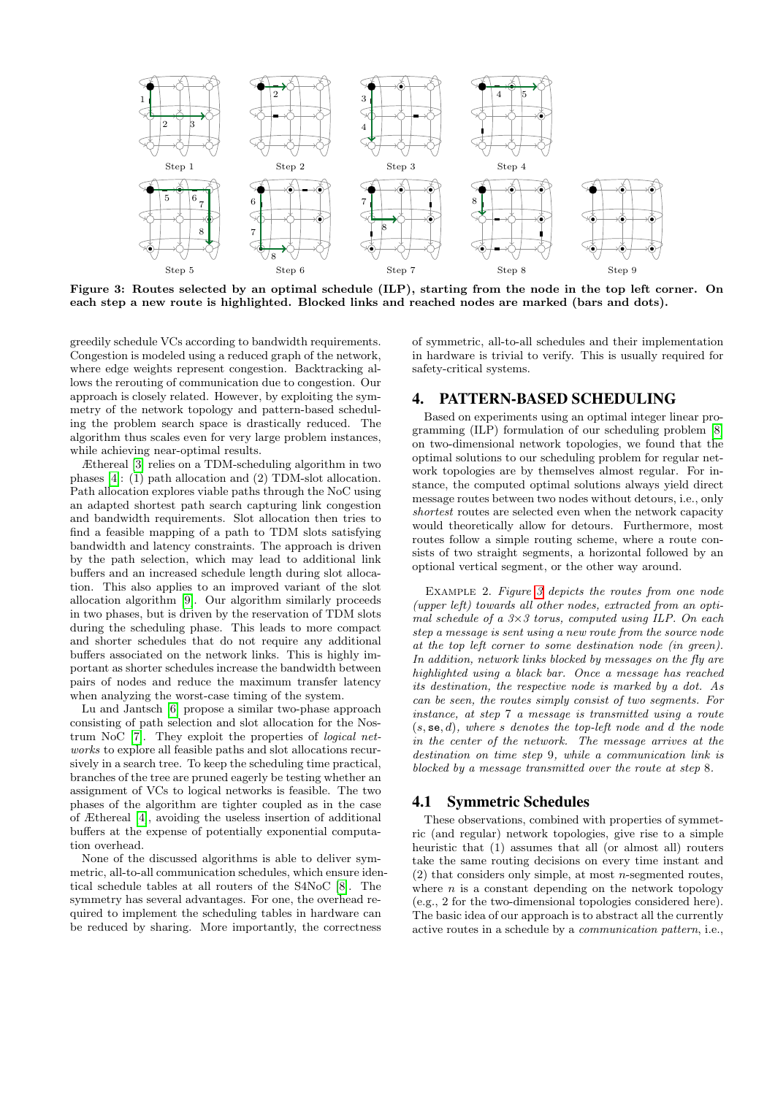

<span id="page-3-1"></span>Figure 3: Routes selected by an optimal schedule (ILP), starting from the node in the top left corner. On each step a new route is highlighted. Blocked links and reached nodes are marked (bars and dots).

greedily schedule VCs according to bandwidth requirements. Congestion is modeled using a reduced graph of the network, where edge weights represent congestion. Backtracking allows the rerouting of communication due to congestion. Our approach is closely related. However, by exploiting the symmetry of the network topology and pattern-based scheduling the problem search space is drastically reduced. The algorithm thus scales even for very large problem instances, while achieving near-optimal results.

Æthereal [\[3\]](#page-9-1) relies on a TDM-scheduling algorithm in two phases [\[4\]](#page-9-3): (1) path allocation and (2) TDM-slot allocation. Path allocation explores viable paths through the NoC using an adapted shortest path search capturing link congestion and bandwidth requirements. Slot allocation then tries to find a feasible mapping of a path to TDM slots satisfying bandwidth and latency constraints. The approach is driven by the path selection, which may lead to additional link buffers and an increased schedule length during slot allocation. This also applies to an improved variant of the slot allocation algorithm [\[9\]](#page-9-4). Our algorithm similarly proceeds in two phases, but is driven by the reservation of TDM slots during the scheduling phase. This leads to more compact and shorter schedules that do not require any additional buffers associated on the network links. This is highly important as shorter schedules increase the bandwidth between pairs of nodes and reduce the maximum transfer latency when analyzing the worst-case timing of the system.

Lu and Jantsch [\[6\]](#page-9-9) propose a similar two-phase approach consisting of path selection and slot allocation for the Nostrum NoC [\[7\]](#page-9-2). They exploit the properties of logical networks to explore all feasible paths and slot allocations recursively in a search tree. To keep the scheduling time practical, branches of the tree are pruned eagerly be testing whether an assignment of VCs to logical networks is feasible. The two phases of the algorithm are tighter coupled as in the case of Æthereal [\[4\]](#page-9-3), avoiding the useless insertion of additional buffers at the expense of potentially exponential computation overhead.

None of the discussed algorithms is able to deliver symmetric, all-to-all communication schedules, which ensure identical schedule tables at all routers of the S4NoC [\[8\]](#page-9-0). The symmetry has several advantages. For one, the overhead required to implement the scheduling tables in hardware can be reduced by sharing. More importantly, the correctness

of symmetric, all-to-all schedules and their implementation in hardware is trivial to verify. This is usually required for safety-critical systems.

#### <span id="page-3-0"></span>4. PATTERN-BASED SCHEDULING

Based on experiments using an optimal integer linear programming (ILP) formulation of our scheduling problem [\[8\]](#page-9-0) on two-dimensional network topologies, we found that the optimal solutions to our scheduling problem for regular network topologies are by themselves almost regular. For instance, the computed optimal solutions always yield direct message routes between two nodes without detours, i.e., only shortest routes are selected even when the network capacity would theoretically allow for detours. Furthermore, most routes follow a simple routing scheme, where a route consists of two straight segments, a horizontal followed by an optional vertical segment, or the other way around.

EXAMPLE 2. Figure [3](#page-3-1) depicts the routes from one node (upper left) towards all other nodes, extracted from an optimal schedule of a  $3\times3$  torus, computed using ILP. On each step a message is sent using a new route from the source node at the top left corner to some destination node (in green). In addition, network links blocked by messages on the fly are highlighted using a black bar. Once a message has reached its destination, the respective node is marked by a dot. As can be seen, the routes simply consist of two segments. For instance, at step 7 a message is transmitted using a route  $(s, \texttt{se}, d)$ , where s denotes the top-left node and d the node in the center of the network. The message arrives at the destination on time step 9, while a communication link is blocked by a message transmitted over the route at step 8.

#### 4.1 Symmetric Schedules

These observations, combined with properties of symmetric (and regular) network topologies, give rise to a simple heuristic that (1) assumes that all (or almost all) routers take the same routing decisions on every time instant and  $(2)$  that considers only simple, at most *n*-segmented routes, where  $n$  is a constant depending on the network topology (e.g., 2 for the two-dimensional topologies considered here). The basic idea of our approach is to abstract all the currently active routes in a schedule by a communication pattern, i.e.,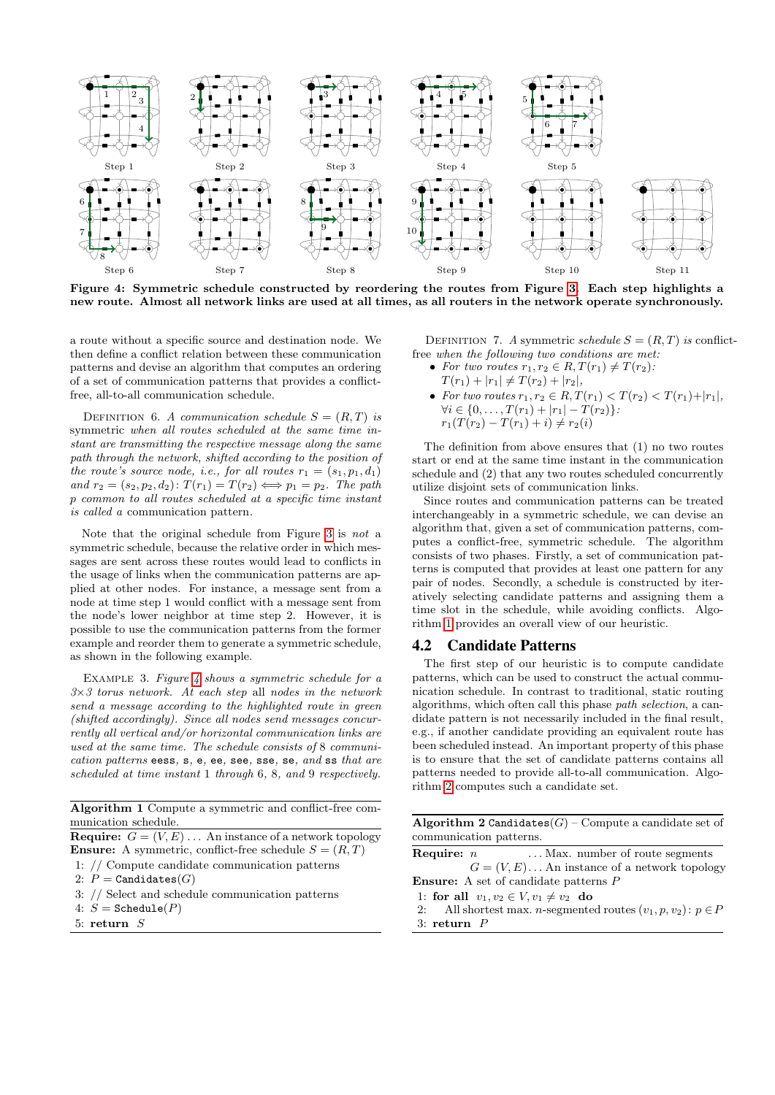

<span id="page-4-0"></span>Figure 4: Symmetric schedule constructed by reordering the routes from Figure [3.](#page-3-1) Each step highlights a new route. Almost all network links are used at all times, as all routers in the network operate synchronously.

a route without a specific source and destination node. We then define a conflict relation between these communication patterns and devise an algorithm that computes an ordering of a set of communication patterns that provides a conflictfree, all-to-all communication schedule.

<span id="page-4-4"></span>DEFINITION 6. A communication schedule  $S = (R, T)$  is symmetric when all routes scheduled at the same time instant are transmitting the respective message along the same path through the network, shifted according to the position of the route's source node, i.e., for all routes  $r_1 = (s_1, p_1, d_1)$ and  $r_2 = (s_2, p_2, d_2): T(r_1) = T(r_2) \Longleftrightarrow p_1 = p_2$ . The path p common to all routes scheduled at a specific time instant is called a communication pattern.

Note that the original schedule from Figure [3](#page-3-1) is not a symmetric schedule, because the relative order in which messages are sent across these routes would lead to conflicts in the usage of links when the communication patterns are applied at other nodes. For instance, a message sent from a node at time step 1 would conflict with a message sent from the node's lower neighbor at time step 2. However, it is possible to use the communication patterns from the former example and reorder them to generate a symmetric schedule, as shown in the following example.

EXAMPLE 3. Figure  $4$  shows a symmetric schedule for a  $3\times3$  torus network. At each step all nodes in the network send a message according to the highlighted route in green (shifted accordingly). Since all nodes send messages concurrently all vertical and/or horizontal communication links are used at the same time. The schedule consists of 8 communication patterns eess, s, e, ee, see, sse, se, and ss that are scheduled at time instant 1 through 6, 8, and 9 respectively.

<span id="page-4-3"></span><span id="page-4-1"></span>Algorithm 1 Compute a symmetric and conflict-free communication schedule.

**Require:**  $G = (V, E) \dots$  An instance of a network topology **Ensure:** A symmetric, conflict-free schedule  $S = (R, T)$ 

- 1: // Compute candidate communication patterns
- 2:  $P =$  Candidates $(G)$
- 3: // Select and schedule communication patterns
- 4:  $S = \text{Scheduling}(P)$
- 5: return S

DEFINITION 7. A symmetric schedule  $S = (R, T)$  is conflictfree when the following two conditions are met:

- For two routes  $r_1, r_2 \in R$ ,  $T(r_1) \neq T(r_2)$ :  $T(r_1) + |r_1| \neq T(r_2) + |r_2|,$
- For two routes  $r_1, r_2 \in R$ ,  $T(r_1) < T(r_2) < T(r_1) + |r_1|$ ,  $\forall i \in \{0, \ldots, T(r_1) + |r_1| - T(r_2)\}.$  $r_1(T(r_2) - T(r_1) + i) \neq r_2(i)$

The definition from above ensures that (1) no two routes start or end at the same time instant in the communication schedule and (2) that any two routes scheduled concurrently utilize disjoint sets of communication links.

Since routes and communication patterns can be treated interchangeably in a symmetric schedule, we can devise an algorithm that, given a set of communication patterns, computes a conflict-free, symmetric schedule. The algorithm consists of two phases. Firstly, a set of communication patterns is computed that provides at least one pattern for any pair of nodes. Secondly, a schedule is constructed by iteratively selecting candidate patterns and assigning them a time slot in the schedule, while avoiding conflicts. Algorithm [1](#page-4-1) provides an overall view of our heuristic.

# <span id="page-4-5"></span>4.2 Candidate Patterns

The first step of our heuristic is to compute candidate patterns, which can be used to construct the actual communication schedule. In contrast to traditional, static routing algorithms, which often call this phase path selection, a candidate pattern is not necessarily included in the final result, e.g., if another candidate providing an equivalent route has been scheduled instead. An important property of this phase is to ensure that the set of candidate patterns contains all patterns needed to provide all-to-all communication. Algorithm [2](#page-4-2) computes such a candidate set.

<span id="page-4-2"></span>Algorithm 2 Candidates( $G$ ) – Compute a candidate set of communication patterns.

**Require:**  $n$  ... Max. number of route segments  $G = (V, E) \dots$  An instance of a network topology Ensure: A set of candidate patterns P

- 1: for all  $v_1, v_2 \in V, v_1 \neq v_2$  do
- 2: All shortest max. *n*-segmented routes  $(v_1, p, v_2)$ :  $p \in P$ 3: return P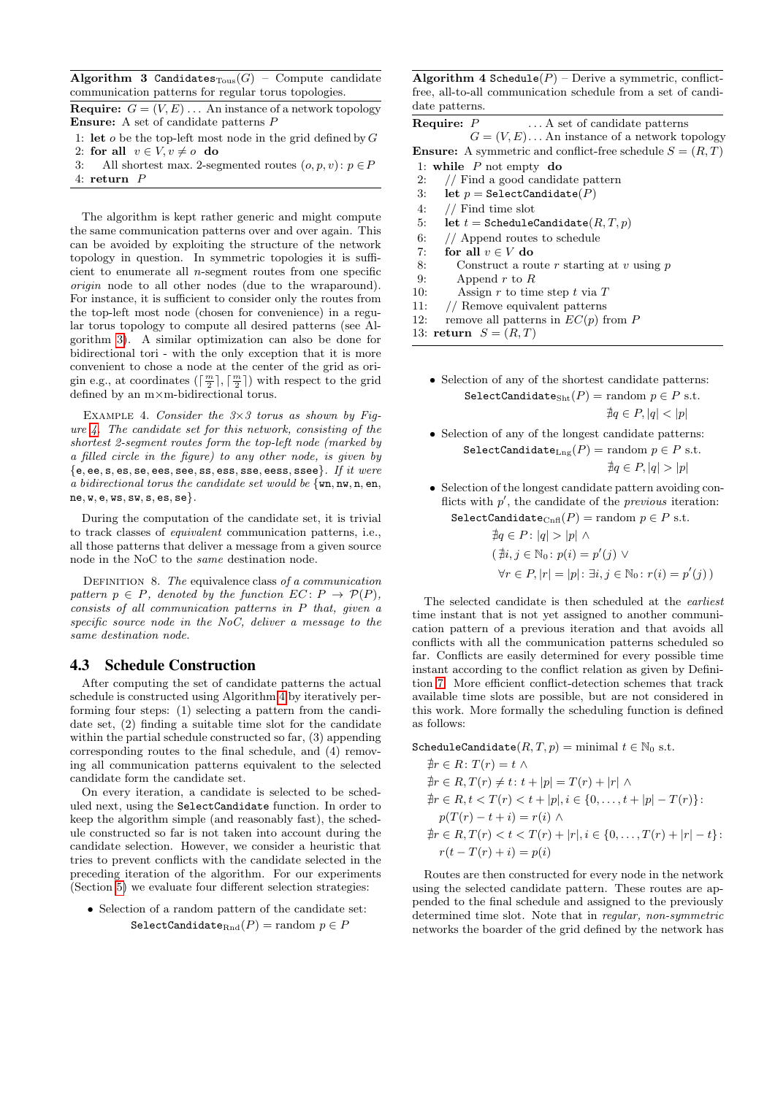<span id="page-5-0"></span>Algorithm 3 Candidates $T_{\text{OUS}}(G)$  – Compute candidate communication patterns for regular torus topologies.

**Require:**  $G = (V, E) \dots$  An instance of a network topology Ensure: A set of candidate patterns P

- 1: let  $o$  be the top-left most node in the grid defined by  $G$ 2: for all  $v \in V, v \neq o$  do<br>3: All shortest max. 2-seg
- All shortest max. 2-segmented routes  $(o, p, v): p \in P$ 4: return P

The algorithm is kept rather generic and might compute the same communication patterns over and over again. This can be avoided by exploiting the structure of the network topology in question. In symmetric topologies it is sufficient to enumerate all n-segment routes from one specific origin node to all other nodes (due to the wraparound). For instance, it is sufficient to consider only the routes from the top-left most node (chosen for convenience) in a regular torus topology to compute all desired patterns (see Algorithm [3\)](#page-5-0). A similar optimization can also be done for bidirectional tori - with the only exception that it is more convenient to chose a node at the center of the grid as origin e.g., at coordinates  $(\lceil \frac{m}{2} \rceil, \lceil \frac{m}{2} \rceil)$  with respect to the grid defined by an m×m-bidirectional torus.

<span id="page-5-2"></span>EXAMPLE 4. Consider the  $3\times3$  torus as shown by Figure [4.](#page-4-0) The candidate set for this network, consisting of the shortest 2-segment routes form the top-left node (marked by a filled circle in the figure) to any other node, is given by  ${e, ee, s, es, se, ees, see, ss, ess, sse, eess, ssee}.$  If it were a bidirectional torus the candidate set would be  $\{\mathbf{w}_n, \mathbf{w}_n, \mathbf{e}_n, \mathbf{w}_n, \mathbf{e}_n, \mathbf{e}_n, \mathbf{e}_n, \mathbf{e}_n, \mathbf{e}_n, \mathbf{e}_n, \mathbf{e}_n, \mathbf{e}_n, \mathbf{e}_n, \mathbf{e}_n, \mathbf{e}_n, \mathbf{e}_n, \mathbf{e}_n, \mathbf{e}_n, \mathbf{e}_n, \mathbf{e}_n, \mathbf{e}_n, \math$  $ne, w, e, ws, sw, s, es, se\}.$ 

During the computation of the candidate set, it is trivial to track classes of equivalent communication patterns, i.e., all those patterns that deliver a message from a given source node in the NoC to the same destination node.

DEFINITION 8. The equivalence class of a communication pattern  $p \in P$ , denoted by the function  $EC \colon P \to \mathcal{P}(P)$ , consists of all communication patterns in P that, given a specific source node in the NoC, deliver a message to the same destination node.

#### <span id="page-5-8"></span>4.3 Schedule Construction

After computing the set of candidate patterns the actual schedule is constructed using Algorithm [4](#page-5-1) by iteratively performing four steps: (1) selecting a pattern from the candidate set, (2) finding a suitable time slot for the candidate within the partial schedule constructed so far, (3) appending corresponding routes to the final schedule, and (4) removing all communication patterns equivalent to the selected candidate form the candidate set.

On every iteration, a candidate is selected to be scheduled next, using the SelectCandidate function. In order to keep the algorithm simple (and reasonably fast), the schedule constructed so far is not taken into account during the candidate selection. However, we consider a heuristic that tries to prevent conflicts with the candidate selected in the preceding iteration of the algorithm. For our experiments (Section [5\)](#page-6-0) we evaluate four different selection strategies:

• Selection of a random pattern of the candidate set:

$$
\texttt{SelectCandidate}_{\mathrm{Rnd}}(P) = \text{random } p \in P
$$

<span id="page-5-1"></span>Algorithm 4 Schedule $(P)$  – Derive a symmetric, conflictfree, all-to-all communication schedule from a set of candidate patterns.

| Require: $P$ | A set of candidate patterns                                        |
|--------------|--------------------------------------------------------------------|
|              | $G = (V, E) \dots$ An instance of a network topology               |
|              | <b>Ensure:</b> A symmetric and conflict-free schedule $S = (R, T)$ |
|              | 1: while $P$ not empty do                                          |
|              | $2.$ $\sqrt{5}$ Find a good condidate pattern                      |

- <span id="page-5-3"></span>2: // Find a good candidate pattern<br>3: let  $p =$  SelectCandidate(P) let  $p =$  SelectCandidate(P)
- 4: // Find time slot
- <span id="page-5-4"></span>5: let  $t =$  ScheduleCandidate( $R, T, p$ )
- <span id="page-5-7"></span>6: // Append routes to schedule
- 7: for all  $v \in V$  do
- <span id="page-5-5"></span>8: Construct a route r starting at v using  $p$
- 9: Append  $r$  to  $R$
- 10: Assign  $r$  to time step  $t$  via  $T$
- <span id="page-5-6"></span>11: // Remove equivalent patterns
- 12: remove all patterns in  $EC(p)$  from P
- 13: return  $S = (R, T)$ 
	- Selection of any of the shortest candidate patterns: SelectCandidate $\text{Sht}(P) = \text{random } p \in P \text{ s.t.}$  $\nexists q \in P, |q| < |p|$
	- Selection of any of the longest candidate patterns: SelectCandidate<sub>Lng</sub> $(P)$  = random  $p \in P$  s.t.  $\nexists a \in P, |a| > |p|$
	- Selection of the longest candidate pattern avoiding conflicts with  $p'$ , the candidate of the *previous* iteration:

SelectCandidate $_{\text{Cnfl}}(P) = \text{random } p \in P \text{ s.t.}$ 

$$
\nexists q \in P : |q| > |p| \land
$$
\n
$$
(\nexists i, j \in \mathbb{N}_0 : p(i) = p'(j) \lor
$$
\n
$$
\forall r \in P, |r| = |p| : \exists i, j \in \mathbb{N}_0 : r(i) = p'(j))
$$

The selected candidate is then scheduled at the earliest time instant that is not yet assigned to another communication pattern of a previous iteration and that avoids all conflicts with all the communication patterns scheduled so far. Conflicts are easily determined for every possible time instant according to the conflict relation as given by Definition [7.](#page-4-3) More efficient conflict-detection schemes that track available time slots are possible, but are not considered in this work. More formally the scheduling function is defined as follows:

ScheduleCandidate $(R, T, p)$  = minimal  $t \in \mathbb{N}_0$  s.t.

$$
\nexists r \in R: T(r) = t \land \n\nexists r \in R, T(r) \neq t: t + |p| = T(r) + |r| \land \n\nexists r \in R, t < T(r) < t + |p|, i \in \{0, \ldots, t + |p| - T(r)\}: \np(T(r) - t + i) = r(i) \land \n\nexists r \in R, T(r) < t < T(r) + |r|, i \in \{0, \ldots, T(r) + |r| - t\}: \nr(t - T(r) + i) = p(i)
$$

Routes are then constructed for every node in the network using the selected candidate pattern. These routes are appended to the final schedule and assigned to the previously determined time slot. Note that in regular, non-symmetric networks the boarder of the grid defined by the network has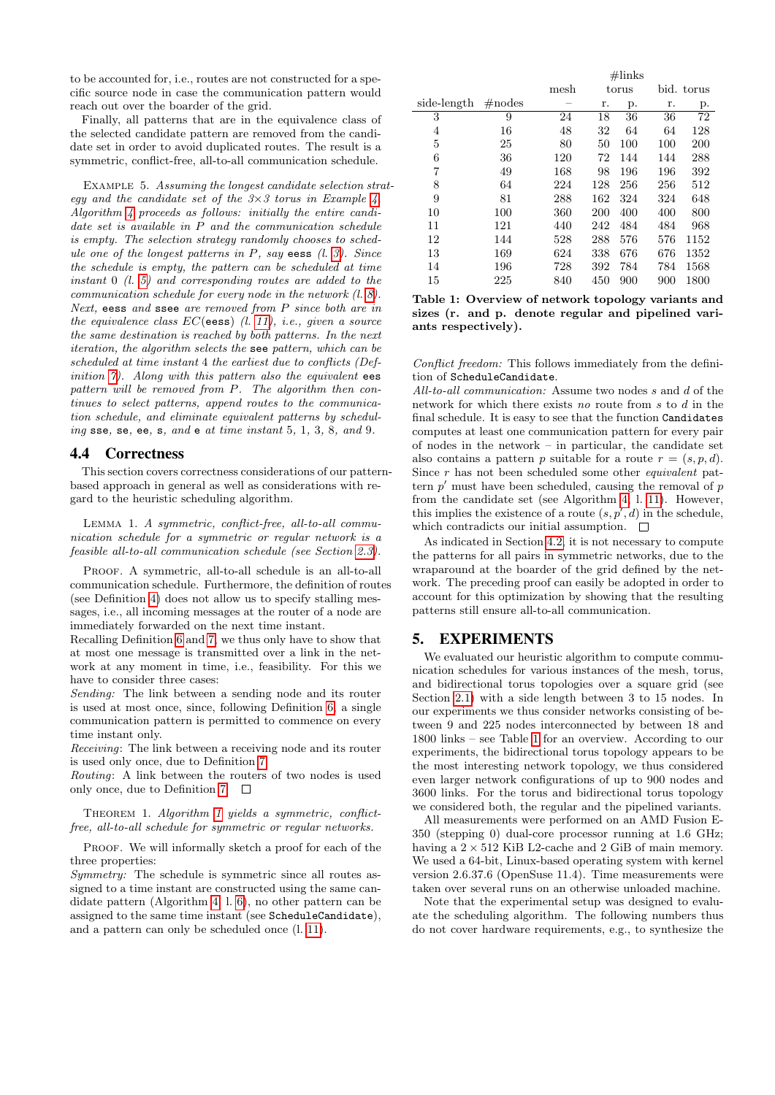to be accounted for, i.e., routes are not constructed for a specific source node in case the communication pattern would reach out over the boarder of the grid.

Finally, all patterns that are in the equivalence class of the selected candidate pattern are removed from the candidate set in order to avoid duplicated routes. The result is a symmetric, conflict-free, all-to-all communication schedule.

Example 5. Assuming the longest candidate selection strategy and the candidate set of the  $3\times3$  torus in Example [4,](#page-5-2) Algorithm [4](#page-5-1) proceeds as follows: initially the entire candidate set is available in P and the communication schedule is empty. The selection strategy randomly chooses to schedule one of the longest patterns in  $P$ , say eess  $(l. 3)$  $(l. 3)$ . Since the schedule is empty, the pattern can be scheduled at time instant 0 (l. [5\)](#page-5-4) and corresponding routes are added to the communication schedule for every node in the network (l. [8\)](#page-5-5). Next, eess and ssee are removed from P since both are in the equivalence class  $EC(eess)$  (l. [11\)](#page-5-6), i.e., given a source the same destination is reached by both patterns. In the next iteration, the algorithm selects the see pattern, which can be scheduled at time instant 4 the earliest due to conflicts (Def-inition [7\)](#page-4-3). Along with this pattern also the equivalent ees pattern will be removed from P. The algorithm then continues to select patterns, append routes to the communication schedule, and eliminate equivalent patterns by scheduling sse, se, ee, s, and e at time instant 5, 1, 3, 8, and 9.

#### 4.4 Correctness

This section covers correctness considerations of our patternbased approach in general as well as considerations with regard to the heuristic scheduling algorithm.

Lemma 1. A symmetric, conflict-free, all-to-all communication schedule for a symmetric or regular network is a feasible all-to-all communication schedule (see Section [2.3\)](#page-2-1).

PROOF. A symmetric, all-to-all schedule is an all-to-all communication schedule. Furthermore, the definition of routes (see Definition [4\)](#page-2-2) does not allow us to specify stalling messages, i.e., all incoming messages at the router of a node are immediately forwarded on the next time instant.

Recalling Definition [6](#page-4-4) and [7,](#page-4-3) we thus only have to show that at most one message is transmitted over a link in the network at any moment in time, i.e., feasibility. For this we have to consider three cases:

Sending: The link between a sending node and its router is used at most once, since, following Definition [6,](#page-4-4) a single communication pattern is permitted to commence on every time instant only.

Receiving: The link between a receiving node and its router is used only once, due to Definition [7.](#page-4-3)

Routing: A link between the routers of two nodes is used only once, due to Definition [7.](#page-4-3)  $\Box$ 

THEOREM [1](#page-4-1). Algorithm 1 yields a symmetric, conflictfree, all-to-all schedule for symmetric or regular networks.

PROOF. We will informally sketch a proof for each of the three properties:

Symmetry: The schedule is symmetric since all routes assigned to a time instant are constructed using the same candidate pattern (Algorithm [4,](#page-5-1) l. [6\)](#page-5-7), no other pattern can be assigned to the same time instant (see ScheduleCandidate), and a pattern can only be scheduled once (l. [11\)](#page-5-6).

|                |            | $\#$ links |       |     |     |            |
|----------------|------------|------------|-------|-----|-----|------------|
|                |            | mesh       | torus |     |     | bid. torus |
| side-length    | $\#$ nodes |            | r.    | p.  | r.  | p.         |
| 3              | 9          | 24         | 18    | 36  | 36  | 72         |
| 4              | 16         | 48         | 32    | 64  | 64  | 128        |
| 5              | 25         | 80         | 50    | 100 | 100 | 200        |
| 6              | 36         | 120        | 72    | 144 | 144 | 288        |
| $\overline{7}$ | 49         | 168        | 98    | 196 | 196 | 392        |
| 8              | 64         | 224        | 128   | 256 | 256 | 512        |
| 9              | 81         | 288        | 162   | 324 | 324 | 648        |
| 10             | 100        | 360        | 200   | 400 | 400 | 800        |
| 11             | 121        | 440        | 242   | 484 | 484 | 968        |
| 12             | 144        | 528        | 288   | 576 | 576 | 1152       |
| 13             | 169        | 624        | 338   | 676 | 676 | 1352       |
| 14             | 196        | 728        | 392   | 784 | 784 | 1568       |
| 15             | 225        | 840        | 450   | 900 | 900 | 1800       |

<span id="page-6-1"></span>Table 1: Overview of network topology variants and sizes (r. and p. denote regular and pipelined variants respectively).

Conflict freedom: This follows immediately from the definition of ScheduleCandidate.

All-to-all communication: Assume two nodes s and d of the network for which there exists no route from s to d in the final schedule. It is easy to see that the function Candidates computes at least one communication pattern for every pair of nodes in the network – in particular, the candidate set also contains a pattern p suitable for a route  $r = (s, p, d)$ . Since r has not been scheduled some other equivalent pattern  $p'$  must have been scheduled, causing the removal of  $p$ from the candidate set (see Algorithm [4,](#page-5-1) l. [11\)](#page-5-6). However, this implies the existence of a route  $(s, p', d)$  in the schedule, which contradicts our initial assumption.  $\Box$ 

As indicated in Section [4.2,](#page-4-5) it is not necessary to compute the patterns for all pairs in symmetric networks, due to the wraparound at the boarder of the grid defined by the network. The preceding proof can easily be adopted in order to account for this optimization by showing that the resulting patterns still ensure all-to-all communication.

#### <span id="page-6-0"></span>5. EXPERIMENTS

We evaluated our heuristic algorithm to compute communication schedules for various instances of the mesh, torus, and bidirectional torus topologies over a square grid (see Section [2.1\)](#page-1-3) with a side length between 3 to 15 nodes. In our experiments we thus consider networks consisting of between 9 and 225 nodes interconnected by between 18 and 1800 links – see Table [1](#page-6-1) for an overview. According to our experiments, the bidirectional torus topology appears to be the most interesting network topology, we thus considered even larger network configurations of up to 900 nodes and 3600 links. For the torus and bidirectional torus topology we considered both, the regular and the pipelined variants.

All measurements were performed on an AMD Fusion E-350 (stepping 0) dual-core processor running at 1.6 GHz; having a  $2 \times 512$  KiB L2-cache and 2 GiB of main memory. We used a 64-bit, Linux-based operating system with kernel version 2.6.37.6 (OpenSuse 11.4). Time measurements were taken over several runs on an otherwise unloaded machine.

Note that the experimental setup was designed to evaluate the scheduling algorithm. The following numbers thus do not cover hardware requirements, e.g., to synthesize the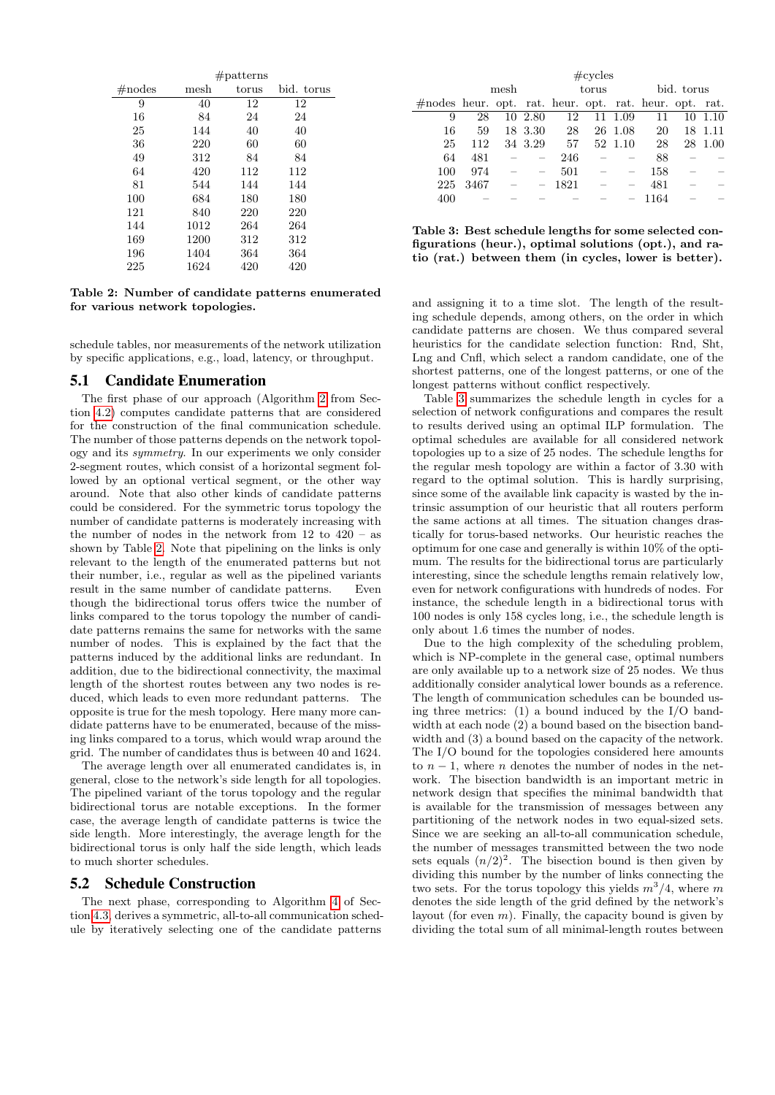|            | $#$ patterns |       |            |  |  |  |  |  |  |
|------------|--------------|-------|------------|--|--|--|--|--|--|
| $\#$ nodes | mesh         | torus | bid. torus |  |  |  |  |  |  |
| 9          | 40           | 12    | 12         |  |  |  |  |  |  |
| 16         | 84           | 24    | 24         |  |  |  |  |  |  |
| 25         | 144          | 40    | 40         |  |  |  |  |  |  |
| 36         | 220          | 60    | 60         |  |  |  |  |  |  |
| 49         | 312          | 84    | 84         |  |  |  |  |  |  |
| 64         | 420          | 112   | 112        |  |  |  |  |  |  |
| 81         | 544          | 144   | 144        |  |  |  |  |  |  |
| 100        | 684          | 180   | 180        |  |  |  |  |  |  |
| 121        | 840          | 220   | 220        |  |  |  |  |  |  |
| 144        | 1012         | 264   | 264        |  |  |  |  |  |  |
| 169        | 1200         | 312   | 312        |  |  |  |  |  |  |
| 196        | 1404         | 364   | 364        |  |  |  |  |  |  |
| 225        | 1624         | 420   | 420        |  |  |  |  |  |  |

<span id="page-7-0"></span>Table 2: Number of candidate patterns enumerated for various network topologies.

schedule tables, nor measurements of the network utilization by specific applications, e.g., load, latency, or throughput.

#### 5.1 Candidate Enumeration

The first phase of our approach (Algorithm [2](#page-4-2) from Section [4.2\)](#page-4-5) computes candidate patterns that are considered for the construction of the final communication schedule. The number of those patterns depends on the network topology and its symmetry. In our experiments we only consider 2-segment routes, which consist of a horizontal segment followed by an optional vertical segment, or the other way around. Note that also other kinds of candidate patterns could be considered. For the symmetric torus topology the number of candidate patterns is moderately increasing with the number of nodes in the network from 12 to 420 – as shown by Table [2.](#page-7-0) Note that pipelining on the links is only relevant to the length of the enumerated patterns but not their number, i.e., regular as well as the pipelined variants result in the same number of candidate patterns. Even though the bidirectional torus offers twice the number of links compared to the torus topology the number of candidate patterns remains the same for networks with the same number of nodes. This is explained by the fact that the patterns induced by the additional links are redundant. In addition, due to the bidirectional connectivity, the maximal length of the shortest routes between any two nodes is reduced, which leads to even more redundant patterns. The opposite is true for the mesh topology. Here many more candidate patterns have to be enumerated, because of the missing links compared to a torus, which would wrap around the grid. The number of candidates thus is between 40 and 1624.

The average length over all enumerated candidates is, in general, close to the network's side length for all topologies. The pipelined variant of the torus topology and the regular bidirectional torus are notable exceptions. In the former case, the average length of candidate patterns is twice the side length. More interestingly, the average length for the bidirectional torus is only half the side length, which leads to much shorter schedules.

### 5.2 Schedule Construction

The next phase, corresponding to Algorithm [4](#page-5-1) of Section [4.3,](#page-5-8) derives a symmetric, all-to-all communication schedule by iteratively selecting one of the candidate patterns

|                                                            | $\#\text{cycles}$ |  |         |       |    |         |            |    |         |
|------------------------------------------------------------|-------------------|--|---------|-------|----|---------|------------|----|---------|
|                                                            | mesh              |  |         | torus |    |         | bid. torus |    |         |
| $\#$ nodes heur. opt. rat. heur. opt. rat. heur. opt. rat. |                   |  |         |       |    |         |            |    |         |
| 9                                                          | 28                |  | 10 2.80 | 12    | 11 | 1.09    | 11         | 10 | 1.10    |
| 16                                                         | 59                |  | 18 3.30 | 28    |    | 26 1.08 | 20         |    | 18 1.11 |
| 25                                                         | 112               |  | 34 3.29 | 57    |    | 52 1.10 | 28         |    | 28 1.00 |
| 64                                                         | 481               |  |         | 246   |    |         | 88         |    |         |
| 100                                                        | 974               |  |         | 501   |    |         | 158        |    |         |
| 225                                                        | 3467              |  |         | 1821  |    |         | 481        |    |         |
| 400                                                        |                   |  |         |       |    |         | 1164       |    |         |
|                                                            |                   |  |         |       |    |         |            |    |         |

<span id="page-7-1"></span>Table 3: Best schedule lengths for some selected configurations (heur.), optimal solutions (opt.), and ratio (rat.) between them (in cycles, lower is better).

and assigning it to a time slot. The length of the resulting schedule depends, among others, on the order in which candidate patterns are chosen. We thus compared several heuristics for the candidate selection function: Rnd, Sht, Lng and Cnfl, which select a random candidate, one of the shortest patterns, one of the longest patterns, or one of the longest patterns without conflict respectively.

Table [3](#page-7-1) summarizes the schedule length in cycles for a selection of network configurations and compares the result to results derived using an optimal ILP formulation. The optimal schedules are available for all considered network topologies up to a size of 25 nodes. The schedule lengths for the regular mesh topology are within a factor of 3.30 with regard to the optimal solution. This is hardly surprising, since some of the available link capacity is wasted by the intrinsic assumption of our heuristic that all routers perform the same actions at all times. The situation changes drastically for torus-based networks. Our heuristic reaches the optimum for one case and generally is within 10% of the optimum. The results for the bidirectional torus are particularly interesting, since the schedule lengths remain relatively low, even for network configurations with hundreds of nodes. For instance, the schedule length in a bidirectional torus with 100 nodes is only 158 cycles long, i.e., the schedule length is only about 1.6 times the number of nodes.

Due to the high complexity of the scheduling problem, which is NP-complete in the general case, optimal numbers are only available up to a network size of 25 nodes. We thus additionally consider analytical lower bounds as a reference. The length of communication schedules can be bounded using three metrics:  $(1)$  a bound induced by the I/O bandwidth at each node (2) a bound based on the bisection bandwidth and (3) a bound based on the capacity of the network. The I/O bound for the topologies considered here amounts to  $n-1$ , where n denotes the number of nodes in the network. The bisection bandwidth is an important metric in network design that specifies the minimal bandwidth that is available for the transmission of messages between any partitioning of the network nodes in two equal-sized sets. Since we are seeking an all-to-all communication schedule, the number of messages transmitted between the two node sets equals  $(n/2)^2$ . The bisection bound is then given by dividing this number by the number of links connecting the two sets. For the torus topology this yields  $m^3/4$ , where m denotes the side length of the grid defined by the network's layout (for even  $m$ ). Finally, the capacity bound is given by dividing the total sum of all minimal-length routes between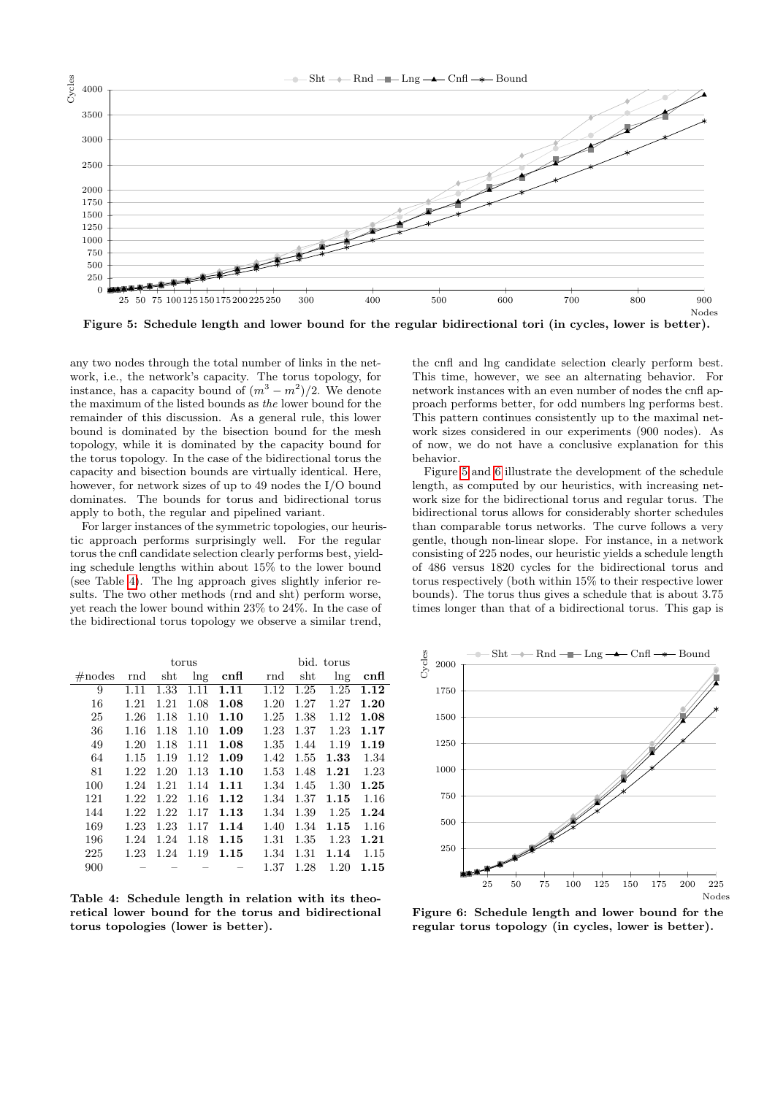

<span id="page-8-1"></span>Figure 5: Schedule length and lower bound for the regular bidirectional tori (in cycles, lower is better).

any two nodes through the total number of links in the network, i.e., the network's capacity. The torus topology, for instance, has a capacity bound of  $(m^3 - m^2)/2$ . We denote the maximum of the listed bounds as the lower bound for the remainder of this discussion. As a general rule, this lower bound is dominated by the bisection bound for the mesh topology, while it is dominated by the capacity bound for the torus topology. In the case of the bidirectional torus the capacity and bisection bounds are virtually identical. Here, however, for network sizes of up to 49 nodes the I/O bound dominates. The bounds for torus and bidirectional torus apply to both, the regular and pipelined variant.

For larger instances of the symmetric topologies, our heuristic approach performs surprisingly well. For the regular torus the cnfl candidate selection clearly performs best, yielding schedule lengths within about 15% to the lower bound (see Table [4\)](#page-8-0). The lng approach gives slightly inferior results. The two other methods (rnd and sht) perform worse, yet reach the lower bound within 23% to 24%. In the case of the bidirectional torus topology we observe a similar trend,

the cnfl and lng candidate selection clearly perform best. This time, however, we see an alternating behavior. For network instances with an even number of nodes the cnfl approach performs better, for odd numbers lng performs best. This pattern continues consistently up to the maximal network sizes considered in our experiments (900 nodes). As of now, we do not have a conclusive explanation for this behavior.

Figure [5](#page-8-1) and [6](#page-8-2) illustrate the development of the schedule length, as computed by our heuristics, with increasing network size for the bidirectional torus and regular torus. The bidirectional torus allows for considerably shorter schedules than comparable torus networks. The curve follows a very gentle, though non-linear slope. For instance, in a network consisting of 225 nodes, our heuristic yields a schedule length of 486 versus 1820 cycles for the bidirectional torus and torus respectively (both within 15% to their respective lower bounds). The torus thus gives a schedule that is about 3.75 times longer than that of a bidirectional torus. This gap is

|           | torus |              |         |      | bid. torus |      |      |      |
|-----------|-------|--------------|---------|------|------------|------|------|------|
| $\#nodes$ | rnd   | $_{\rm sht}$ | $\ln g$ | cnfl | rnd        | sht  | lng  | cnfl |
| 9         | 1.11  | 1.33         | 1.11    | 1.11 | 1.12       | 1.25 | 1.25 | 1.12 |
| 16        | 1.21  | 1.21         | 1.08    | 1.08 | 1.20       | 1.27 | 1.27 | 1.20 |
| 25        | 1.26  | 1.18         | 1.10    | 1.10 | 1.25       | 1.38 | 1.12 | 1.08 |
| 36        | 1.16  | 1.18         | 1.10    | 1.09 | 1.23       | 1.37 | 1.23 | 1.17 |
| 49        | 1.20  | 1.18         | 1.11    | 1.08 | 1.35       | 1.44 | 1.19 | 1.19 |
| 64        | 1.15  | 1.19         | 1.12    | 1.09 | 1.42       | 1.55 | 1.33 | 1.34 |
| 81        | 1.22  | 1.20         | 1.13    | 1.10 | 1.53       | 1.48 | 1.21 | 1.23 |
| 100       | 1.24  | 1.21         | 1.14    | 1.11 | 1.34       | 1.45 | 1.30 | 1.25 |
| 121       | 1.22  | 1.22         | 1.16    | 1.12 | 1.34       | 1.37 | 1.15 | 1.16 |
| 144       | 1.22  | 1.22         | 1.17    | 1.13 | 1.34       | 1.39 | 1.25 | 1.24 |
| 169       | 1.23  | 1.23         | 1.17    | 1.14 | 1.40       | 1.34 | 1.15 | 1.16 |
| 196       | 1.24  | 1.24         | 1.18    | 1.15 | 1.31       | 1.35 | 1.23 | 1.21 |
| 225       | 1.23  | 1.24         | 1.19    | 1.15 | 1.34       | 1.31 | 1.14 | 1.15 |
| 900       |       |              |         |      | 1.37       | 1.28 | 1.20 | 1.15 |

<span id="page-8-0"></span>Table 4: Schedule length in relation with its theoretical lower bound for the torus and bidirectional torus topologies (lower is better).



<span id="page-8-2"></span>Figure 6: Schedule length and lower bound for the regular torus topology (in cycles, lower is better).